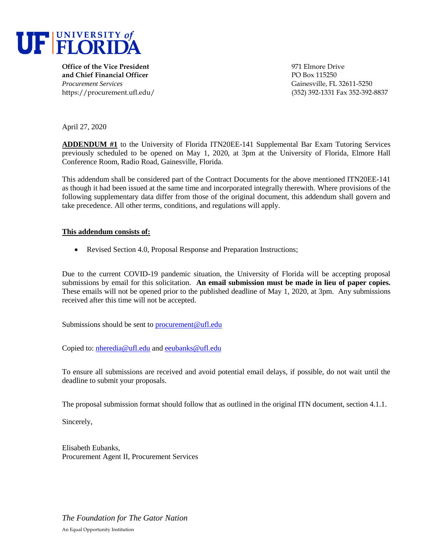

**Office of the Vice President** and the settlement of the Second 1971 Elmore Drive **and Chief Financial Officer PO Box 115250** *Procurement Services* Gainesville, FL 32611-5250

https://procurement.ufl.edu/ (352) 392-1331 Fax 352-392-8837

April 27, 2020

**ADDENDUM #1** to the University of Florida ITN20EE-141 Supplemental Bar Exam Tutoring Services previously scheduled to be opened on May 1, 2020, at 3pm at the University of Florida, Elmore Hall Conference Room, Radio Road, Gainesville, Florida.

This addendum shall be considered part of the Contract Documents for the above mentioned ITN20EE-141 as though it had been issued at the same time and incorporated integrally therewith. Where provisions of the following supplementary data differ from those of the original document, this addendum shall govern and take precedence. All other terms, conditions, and regulations will apply.

## **This addendum consists of:**

Revised Section 4.0, Proposal Response and Preparation Instructions;

Due to the current COVID-19 pandemic situation, the University of Florida will be accepting proposal submissions by email for this solicitation. **An email submission must be made in lieu of paper copies.** These emails will not be opened prior to the published deadline of May 1, 2020, at 3pm. Any submissions received after this time will not be accepted.

Submissions should be sent to [procurement@ufl.edu](mailto:procurement@ufl.edu)

Copied to: [nheredia@ufl.edu](mailto:nheredia@ufl.edu) and [eeubanks@ufl.edu](mailto:eeubanks@ufl.edu)

To ensure all submissions are received and avoid potential email delays, if possible, do not wait until the deadline to submit your proposals.

The proposal submission format should follow that as outlined in the original ITN document, section 4.1.1.

Sincerely,

Elisabeth Eubanks, Procurement Agent II, Procurement Services